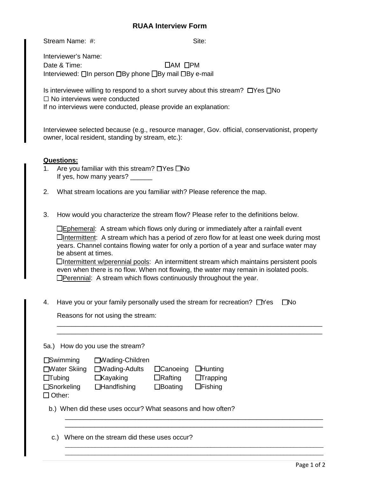## **RUAA Interview Form**

Stream Name: #: Site: Site: Site: Site: Site: Site: Site: Site: Site: Site: Site: Site: Site: Site: Site: Site: Site: Site: Site: Site: Site: Site: Site: Site: Site: Site: Site: Site: Site: Site: Site: Site: Site: Site: Si

Interviewer's Name: Date & Time: ◯AM ΠPM Interviewed: □In person □By phone □By mail □By e-mail

 Is interviewee willing to respond to a short survey about this stream? ☐Yes ☐No ☐ No interviews were conducted

If no interviews were conducted, please provide an explanation:

Interviewee selected because (e.g., resource manager, Gov. official, conservationist, property owner, local resident, standing by stream, etc.):

## **Questions:**

- 1. Are you familiar with this stream? ☐Yes ☐No If yes, how many years? \_\_\_\_\_\_
- 2. What stream locations are you familiar with? Please reference the map.
- 3. How would you characterize the stream flow? Please refer to the definitions below.

| $\Box$ Ephemeral: A stream which flows only during or immediately after a rainfall event        |
|-------------------------------------------------------------------------------------------------|
| $\Box$ Intermittent: A stream which has a period of zero flow for at least one week during most |
| years. Channel contains flowing water for only a portion of a year and surface water may        |
| be absent at times.                                                                             |
|                                                                                                 |

 even when there is no flow. When not flowing, the water may remain in isolated pools. ☐Intermittent w/perennial pools: An intermittent stream which maintains persistent pools □Perennial: A stream which flows continuously throughout the year.

\_\_\_\_\_\_\_\_\_\_\_\_\_\_\_\_\_\_\_\_\_\_\_\_\_\_\_\_\_\_\_\_\_\_\_\_\_\_\_\_\_\_\_\_\_\_\_\_\_\_\_\_\_\_\_\_\_\_\_\_\_\_\_\_\_\_\_\_\_\_\_\_ \_\_\_\_\_\_\_\_\_\_\_\_\_\_\_\_\_\_\_\_\_\_\_\_\_\_\_\_\_\_\_\_\_\_\_\_\_\_\_\_\_\_\_\_\_\_\_\_\_\_\_\_\_\_\_\_\_\_\_\_\_\_\_\_\_\_\_\_\_\_\_\_

\_\_\_\_\_\_\_\_\_\_\_\_\_\_\_\_\_\_\_\_\_\_\_\_\_\_\_\_\_\_\_\_\_\_\_\_\_\_\_\_\_\_\_\_\_\_\_\_\_\_\_\_\_\_\_\_\_\_\_\_\_\_\_\_\_\_\_\_\_\_ \_\_\_\_\_\_\_\_\_\_\_\_\_\_\_\_\_\_\_\_\_\_\_\_\_\_\_\_\_\_\_\_\_\_\_\_\_\_\_\_\_\_\_\_\_\_\_\_\_\_\_\_\_\_\_\_\_\_\_\_\_\_\_\_\_\_\_\_\_\_

\_\_\_\_\_\_\_\_\_\_\_\_\_\_\_\_\_\_\_\_\_\_\_\_\_\_\_\_\_\_\_\_\_\_\_\_\_\_\_\_\_\_\_\_\_\_\_\_\_\_\_\_\_\_\_\_\_\_\_\_\_\_\_\_\_\_\_\_\_\_\_\_\_\_\_\_\_\_ \_\_\_\_\_\_\_\_\_\_\_\_\_\_\_\_\_\_\_\_\_\_\_\_\_\_\_\_\_\_\_\_\_\_\_\_\_\_\_\_\_\_\_\_\_\_\_\_\_\_\_\_\_\_\_\_\_\_\_\_\_\_\_\_\_\_\_\_\_\_\_\_\_\_\_\_\_\_

4. Have you or your family personally used the stream for recreation? □Yes □No

Reasons for not using the stream:

|  |  | 5a.) How do you use the stream? |
|--|--|---------------------------------|
|  |  |                                 |

| $\square$ Swimming   | □ Wading-Children    |                 |                 |
|----------------------|----------------------|-----------------|-----------------|
| □ Water Skiing       | $\Box$ Wading-Adults | $\Box$ Canoeing | $\Box$ Hunting  |
| $\Box$ Tubing        | $\Box$ Kayaking      | $\Box$ Rafting  | $\Box$ Trapping |
| $\square$ Snorkeling | $\Box$ Handfishing   | $\Box$ Boating  | $\Box$ Fishing  |

☐ Other:

b.) When did these uses occur? What seasons and how often?

c.) Where on the stream did these uses occur?